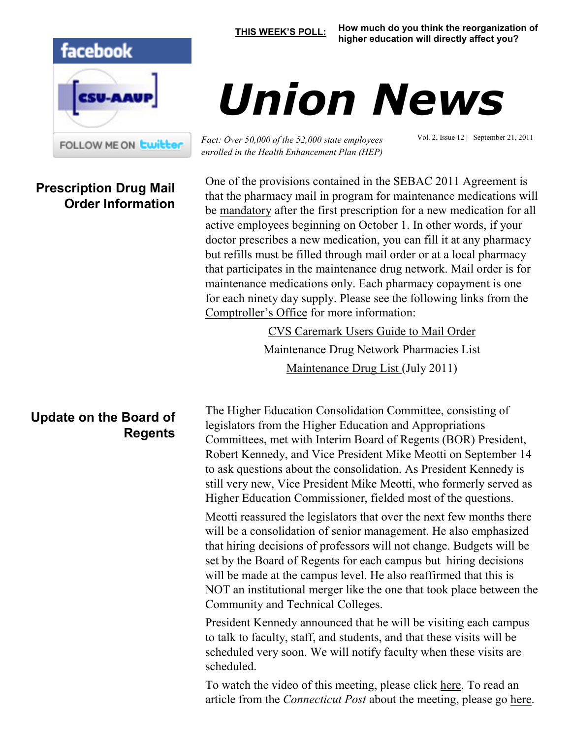

**Prescription Drug Mail Order Information**

**[THIS WEEK'S POLL:](http://www.csuaaup.org/) How much do you think the reorganization of higher education will directly affect you?** 

## *Union News*

*Fact: Over 50,000 of the 52,000 state employees enrolled in the Health Enhancement Plan (HEP)* Vol. 2, Issue 12 | September 21, 2011

One of the provisions contained in the SEBAC 2011 Agreement is that the pharmacy mail in program for maintenance medications will be mandatory after the first prescription for a new medication for all active employees beginning on October 1. In other words, if your doctor prescribes a new medication, you can fill it at any pharmacy but refills must be filled through mail order or at a local pharmacy that participates in the maintenance drug network. Mail order is for maintenance medications only. Each pharmacy copayment is one for each ninety day supply. Please see the following links from the [Comptroller's Office](http://www.osc.ct.gov/) for more information:

> [CVS Caremark Users Guide to Mail Order](http://www.osc.ct.gov/empret/healthin/2011hcplan/CVSCaremarkUsersGuideforMailOrder.pdf) [Maintenance Drug Network Pharmacies List](http://www.osc.ct.gov/empret/healthin/2011hcplan/MaintenanceDrugNetworkList.pdf) [Maintenance Drug List \(](http://www.osc.ct.gov/empret/healthin/MaintenanceDrugListJuly2011.pdf)July 2011)

The Higher Education Consolidation Committee, consisting of legislators from the Higher Education and Appropriations Committees, met with Interim Board of Regents (BOR) President, Robert Kennedy, and Vice President Mike Meotti on September 14 to ask questions about the consolidation. As President Kennedy is still very new, Vice President Mike Meotti, who formerly served as Higher Education Commissioner, fielded most of the questions.

Meotti reassured the legislators that over the next few months there will be a consolidation of senior management. He also emphasized that hiring decisions of professors will not change. Budgets will be set by the Board of Regents for each campus but hiring decisions will be made at the campus level. He also reaffirmed that this is NOT an institutional merger like the one that took place between the Community and Technical Colleges.

President Kennedy announced that he will be visiting each campus to talk to faculty, staff, and students, and that these visits will be scheduled very soon. We will notify faculty when these visits are scheduled.

To watch the video of this meeting, please click [here.](http://ct-n.com/ondemand.asp?ID=6951) To read an article from the *Connecticut Post* about the meeting, please go [here.](http://www.ctpost.com/local/article/State-higher-education-leader-Reorganization-can-2171287.php)

## **Update on the Board of Regents**